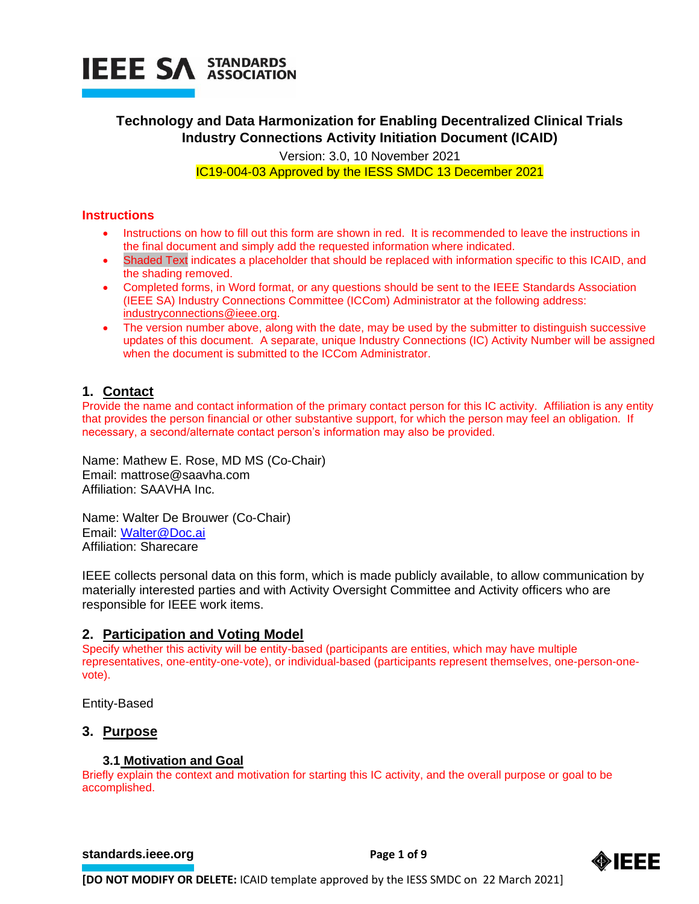

# **Technology and Data Harmonization for Enabling Decentralized Clinical Trials Industry Connections Activity Initiation Document (ICAID)**

Version: 3.0, 10 November 2021 IC19-004-03 Approved by the IESS SMDC 13 December 2021

# **Instructions**

- Instructions on how to fill out this form are shown in red. It is recommended to leave the instructions in the final document and simply add the requested information where indicated.
- Shaded Text indicates a placeholder that should be replaced with information specific to this ICAID, and the shading removed.
- Completed forms, in Word format, or any questions should be sent to the IEEE Standards Association (IEEE SA) Industry Connections Committee (ICCom) Administrator at the following address: [industryconnections@ieee.org.](mailto:industryconnections@ieee.org)
- The version number above, along with the date, may be used by the submitter to distinguish successive updates of this document. A separate, unique Industry Connections (IC) Activity Number will be assigned when the document is submitted to the ICCom Administrator.

# **1. Contact**

Provide the name and contact information of the primary contact person for this IC activity. Affiliation is any entity that provides the person financial or other substantive support, for which the person may feel an obligation. If necessary, a second/alternate contact person's information may also be provided.

Name: Mathew E. Rose, MD MS (Co-Chair) Email: mattrose@saavha.com Affiliation: SAAVHA Inc.

Name: Walter De Brouwer (Co-Chair) Email: [Walter@Doc.ai](mailto:Walter@Doc.ai) Affiliation: Sharecare

IEEE collects personal data on this form, which is made publicly available, to allow communication by materially interested parties and with Activity Oversight Committee and Activity officers who are responsible for IEEE work items.

# **2. Participation and Voting Model**

Specify whether this activity will be entity-based (participants are entities, which may have multiple representatives, one-entity-one-vote), or individual-based (participants represent themselves, one-person-onevote).

Entity-Based

# **3. Purpose**

# **3.1 Motivation and Goal**

Briefly explain the context and motivation for starting this IC activity, and the overall purpose or goal to be accomplished.

# **[standards.ieee.org](http://standards.ieee.org/) example 2 Page 1 of 9**

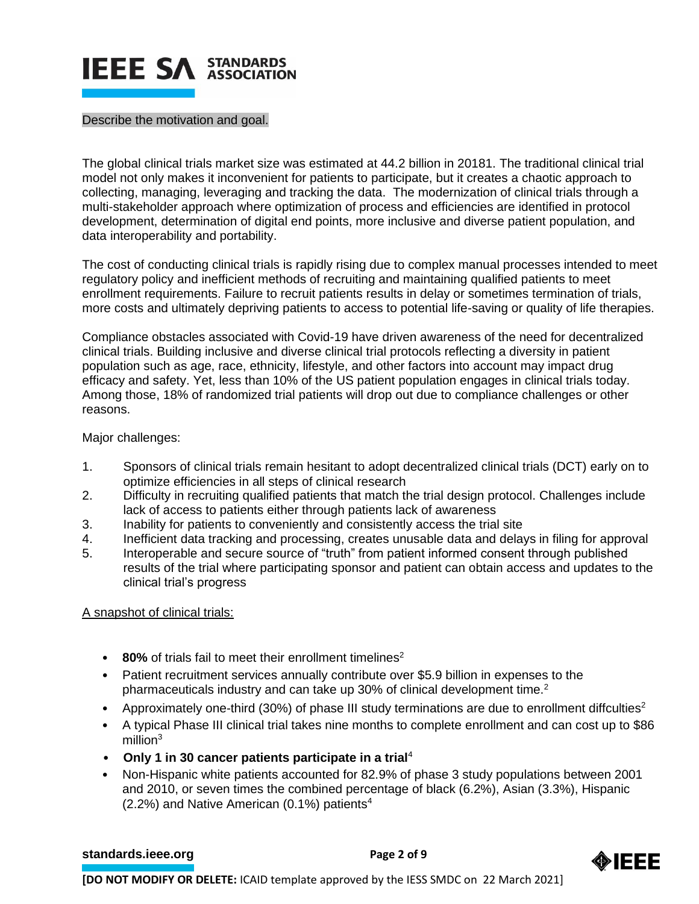

#### Describe the motivation and goal.

The global clinical trials market size was estimated at 44.2 billion in 20181. The traditional clinical trial model not only makes it inconvenient for patients to participate, but it creates a chaotic approach to collecting, managing, leveraging and tracking the data. The modernization of clinical trials through a multi-stakeholder approach where optimization of process and efficiencies are identified in protocol development, determination of digital end points, more inclusive and diverse patient population, and data interoperability and portability.

The cost of conducting clinical trials is rapidly rising due to complex manual processes intended to meet regulatory policy and inefficient methods of recruiting and maintaining qualified patients to meet enrollment requirements. Failure to recruit patients results in delay or sometimes termination of trials, more costs and ultimately depriving patients to access to potential life-saving or quality of life therapies.

Compliance obstacles associated with Covid-19 have driven awareness of the need for decentralized clinical trials. Building inclusive and diverse clinical trial protocols reflecting a diversity in patient population such as age, race, ethnicity, lifestyle, and other factors into account may impact drug efficacy and safety. Yet, less than 10% of the US patient population engages in clinical trials today. Among those, 18% of randomized trial patients will drop out due to compliance challenges or other reasons.

Major challenges:

- 1. Sponsors of clinical trials remain hesitant to adopt decentralized clinical trials (DCT) early on to optimize efficiencies in all steps of clinical research
- 2. Difficulty in recruiting qualified patients that match the trial design protocol. Challenges include lack of access to patients either through patients lack of awareness
- 3. Inability for patients to conveniently and consistently access the trial site
- 4. Inefficient data tracking and processing, creates unusable data and delays in filing for approval
- 5. Interoperable and secure source of "truth" from patient informed consent through published results of the trial where participating sponsor and patient can obtain access and updates to the clinical trial's progress

A snapshot of clinical trials:

- 80% of trials fail to meet their enrollment timelines<sup>2</sup>
- Patient recruitment services annually contribute over \$5.9 billion in expenses to the pharmaceuticals industry and can take up 30% of clinical development time.<sup>2</sup>
- Approximately one-third (30%) of phase III study terminations are due to enrollment diffculties<sup>2</sup>
- A typical Phase III clinical trial takes nine months to complete enrollment and can cost up to \$86  $m$ illion $3$
- **Only 1 in 30 cancer patients participate in a trial**<sup>4</sup>
- Non-Hispanic white patients accounted for 82.9% of phase 3 study populations between 2001 and 2010, or seven times the combined percentage of black (6.2%), Asian (3.3%), Hispanic (2.2%) and Native American (0.1%) patients<sup>4</sup>

# **[standards.ieee.org](http://standards.ieee.org/) example 2 Page 2** of 9

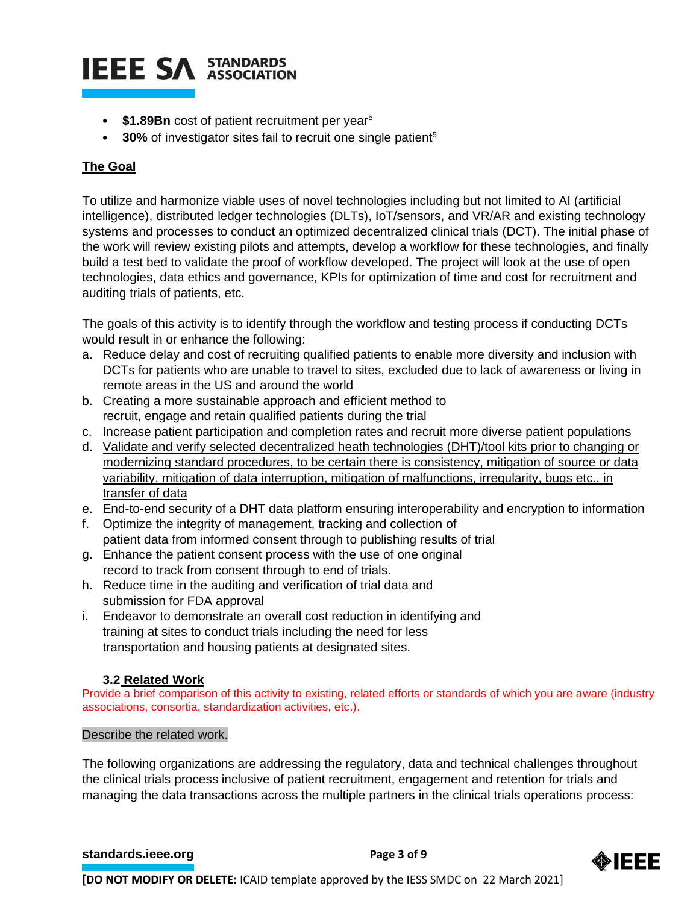# **IEEE SA STANDARDS**

- **\$1.89Bn** cost of patient recruitment per year<sup>5</sup>
- **30%** of investigator sites fail to recruit one single patient<sup>5</sup>

# **The Goal**

To utilize and harmonize viable uses of novel technologies including but not limited to AI (artificial intelligence), distributed ledger technologies (DLTs), IoT/sensors, and VR/AR and existing technology systems and processes to conduct an optimized decentralized clinical trials (DCT). The initial phase of the work will review existing pilots and attempts, develop a workflow for these technologies, and finally build a test bed to validate the proof of workflow developed. The project will look at the use of open technologies, data ethics and governance, KPIs for optimization of time and cost for recruitment and auditing trials of patients, etc.

The goals of this activity is to identify through the workflow and testing process if conducting DCTs would result in or enhance the following:

- a. Reduce delay and cost of recruiting qualified patients to enable more diversity and inclusion with DCTs for patients who are unable to travel to sites, excluded due to lack of awareness or living in remote areas in the US and around the world
- b. Creating a more sustainable approach and efficient method to recruit, engage and retain qualified patients during the trial
- c. Increase patient participation and completion rates and recruit more diverse patient populations
- d. Validate and verify selected decentralized heath technologies (DHT)/tool kits prior to changing or modernizing standard procedures, to be certain there is consistency, mitigation of source or data variability, mitigation of data interruption, mitigation of malfunctions, irregularity, bugs etc., in transfer of data
- e. End-to-end security of a DHT data platform ensuring interoperability and encryption to information
- f. Optimize the integrity of management, tracking and collection of patient data from informed consent through to publishing results of trial
- g. Enhance the patient consent process with the use of one original record to track from consent through to end of trials.
- h. Reduce time in the auditing and verification of trial data and submission for FDA approval
- i. Endeavor to demonstrate an overall cost reduction in identifying and training at sites to conduct trials including the need for less transportation and housing patients at designated sites.

# **3.2 Related Work**

Provide a brief comparison of this activity to existing, related efforts or standards of which you are aware (industry associations, consortia, standardization activities, etc.).

# Describe the related work.

The following organizations are addressing the regulatory, data and technical challenges throughout the clinical trials process inclusive of patient recruitment, engagement and retention for trials and managing the data transactions across the multiple partners in the clinical trials operations process:

# **[standards.ieee.org](http://standards.ieee.org/) EXECUTE: Page 3 of 9**

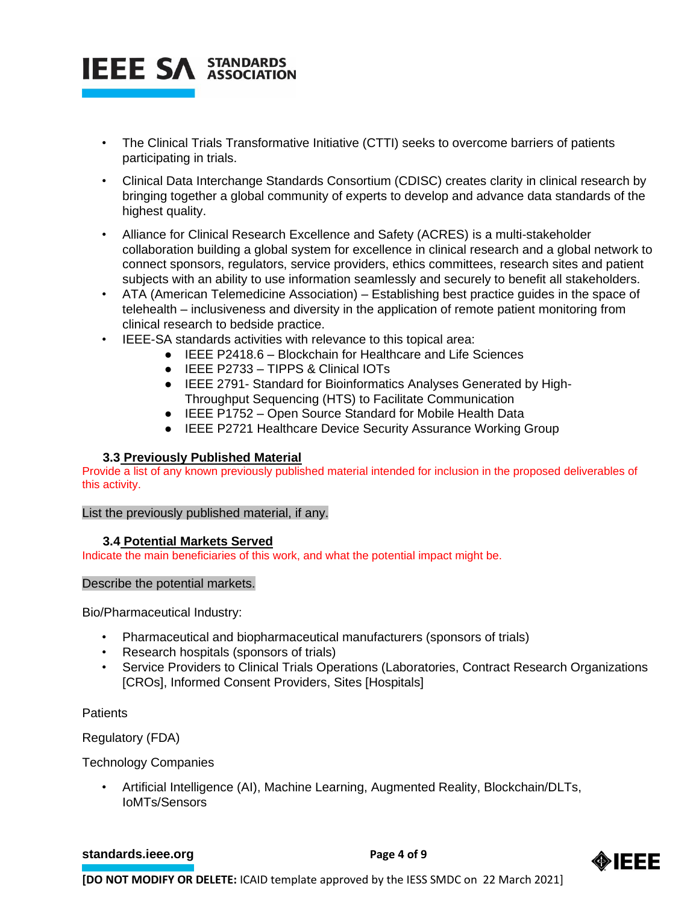

- The Clinical Trials Transformative Initiative (CTTI) seeks to overcome barriers of patients participating in trials.
- Clinical Data Interchange Standards Consortium (CDISC) creates clarity in clinical research by bringing together a global community of experts to develop and advance data standards of the highest quality.
- Alliance for Clinical Research Excellence and Safety (ACRES) is a multi-stakeholder collaboration building a global system for excellence in clinical research and a global network to connect sponsors, regulators, service providers, ethics committees, research sites and patient subjects with an ability to use information seamlessly and securely to benefit all stakeholders.
- ATA (American Telemedicine Association) Establishing best practice guides in the space of telehealth – inclusiveness and diversity in the application of remote patient monitoring from clinical research to bedside practice.
- IEEE-SA standards activities with relevance to this topical area:
	- IEEE P2418.6 Blockchain for Healthcare and Life Sciences
	- IEEE P2733 TIPPS & Clinical IOTs
	- IEEE 2791- Standard for Bioinformatics Analyses Generated by High-Throughput Sequencing (HTS) to Facilitate Communication
	- IEEE P1752 Open Source Standard for Mobile Health Data
	- IEEE P2721 Healthcare Device Security Assurance Working Group

# **3.3 Previously Published Material**

Provide a list of any known previously published material intended for inclusion in the proposed deliverables of this activity.

List the previously published material, if any.

# **3.4 Potential Markets Served**

Indicate the main beneficiaries of this work, and what the potential impact might be.

# Describe the potential markets.

Bio/Pharmaceutical Industry:

- Pharmaceutical and biopharmaceutical manufacturers (sponsors of trials)
- Research hospitals (sponsors of trials)
- Service Providers to Clinical Trials Operations (Laboratories, Contract Research Organizations [CROs], Informed Consent Providers, Sites [Hospitals]

**Patients** 

Regulatory (FDA)

Technology Companies

• Artificial Intelligence (AI), Machine Learning, Augmented Reality, Blockchain/DLTs, IoMTs/Sensors

# **[standards.ieee.org](http://standards.ieee.org/) EXECUTE: Page 4 of 9**

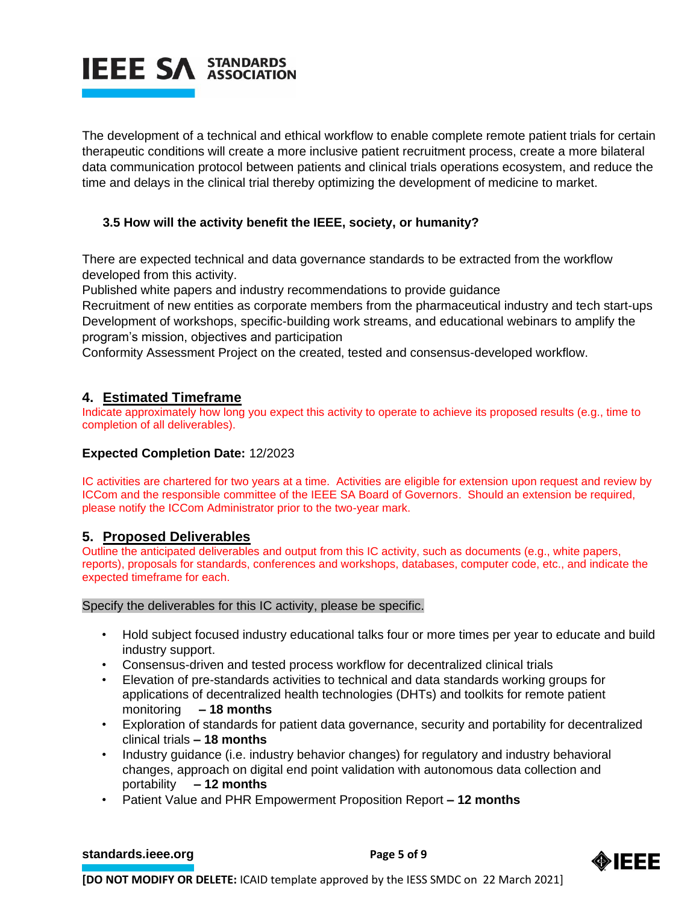

The development of a technical and ethical workflow to enable complete remote patient trials for certain therapeutic conditions will create a more inclusive patient recruitment process, create a more bilateral data communication protocol between patients and clinical trials operations ecosystem, and reduce the time and delays in the clinical trial thereby optimizing the development of medicine to market.

# **3.5 How will the activity benefit the IEEE, society, or humanity?**

There are expected technical and data governance standards to be extracted from the workflow developed from this activity.

Published white papers and industry recommendations to provide guidance

Recruitment of new entities as corporate members from the pharmaceutical industry and tech start-ups Development of workshops, specific-building work streams, and educational webinars to amplify the program's mission, objectives and participation

Conformity Assessment Project on the created, tested and consensus-developed workflow.

# **4. Estimated Timeframe**

Indicate approximately how long you expect this activity to operate to achieve its proposed results (e.g., time to completion of all deliverables).

# **Expected Completion Date:** 12/2023

IC activities are chartered for two years at a time. Activities are eligible for extension upon request and review by ICCom and the responsible committee of the IEEE SA Board of Governors. Should an extension be required, please notify the ICCom Administrator prior to the two-year mark.

# **5. Proposed Deliverables**

Outline the anticipated deliverables and output from this IC activity, such as documents (e.g., white papers, reports), proposals for standards, conferences and workshops, databases, computer code, etc., and indicate the expected timeframe for each.

#### Specify the deliverables for this IC activity, please be specific.

- Hold subject focused industry educational talks four or more times per year to educate and build industry support.
- Consensus-driven and tested process workflow for decentralized clinical trials
- Elevation of pre-standards activities to technical and data standards working groups for applications of decentralized health technologies (DHTs) and toolkits for remote patient monitoring **– 18 months**
- Exploration of standards for patient data governance, security and portability for decentralized clinical trials **– 18 months**
- Industry guidance (i.e. industry behavior changes) for regulatory and industry behavioral changes, approach on digital end point validation with autonomous data collection and portability **– 12 months**
- Patient Value and PHR Empowerment Proposition Report **– 12 months**

#### **[standards.ieee.org](http://standards.ieee.org/) EXECUTE: Page 5 of 9**

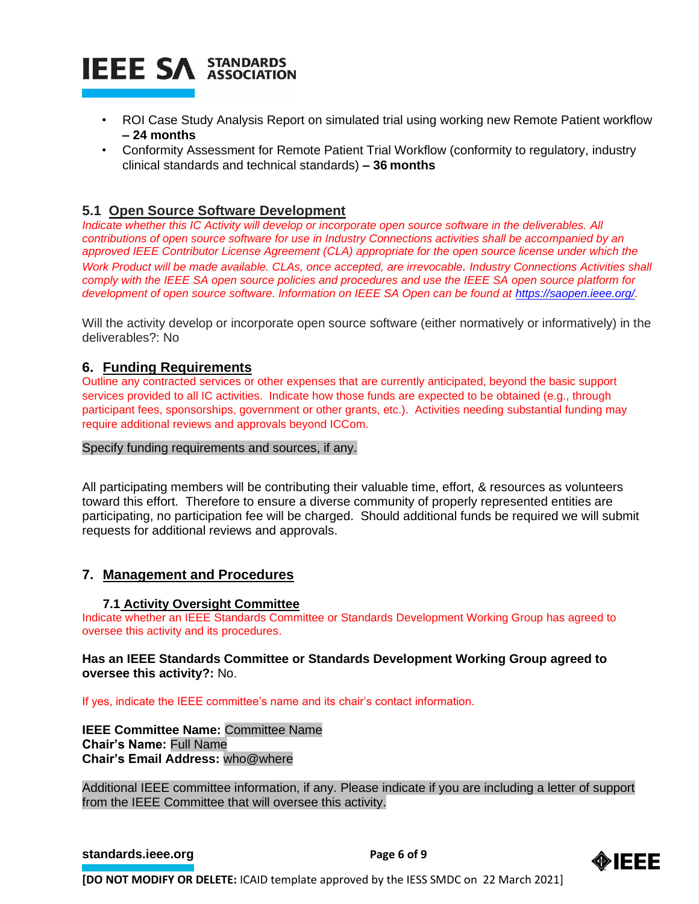

- ROI Case Study Analysis Report on simulated trial using working new Remote Patient workflow **– 24 months**
- Conformity Assessment for Remote Patient Trial Workflow (conformity to regulatory, industry clinical standards and technical standards) **– 36 months**

# **5.1 Open Source Software Development**

*Indicate whether this IC Activity will develop or incorporate open source software in the deliverables. All contributions of open source software for use in Industry Connections activities shall be accompanied by an approved IEEE Contributor License Agreement (CLA) appropriate for the open source license under which the Work Product will be made available. CLAs, once accepted, are irrevocable. Industry Connections Activities shall comply with the IEEE SA open source policies and procedures and use the IEEE SA open source platform for development of open source software. Information on IEEE SA Open can be found at [https://saopen.ieee.org/.](https://saopen.ieee.org/)* 

Will the activity develop or incorporate open source software (either normatively or informatively) in the deliverables?: No

# **6. Funding Requirements**

Outline any contracted services or other expenses that are currently anticipated, beyond the basic support services provided to all IC activities. Indicate how those funds are expected to be obtained (e.g., through participant fees, sponsorships, government or other grants, etc.). Activities needing substantial funding may require additional reviews and approvals beyond ICCom.

#### Specify funding requirements and sources, if any.

All participating members will be contributing their valuable time, effort, & resources as volunteers toward this effort. Therefore to ensure a diverse community of properly represented entities are participating, no participation fee will be charged. Should additional funds be required we will submit requests for additional reviews and approvals.

# **7. Management and Procedures**

# **7.1 Activity Oversight Committee**

Indicate whether an IEEE Standards Committee or Standards Development Working Group has agreed to oversee this activity and its procedures.

# **Has an IEEE Standards Committee or Standards Development Working Group agreed to oversee this activity?:** No.

If yes, indicate the IEEE committee's name and its chair's contact information.

**IEEE Committee Name:** Committee Name **Chair's Name:** Full Name **Chair's Email Address:** who@where

Additional IEEE committee information, if any. Please indicate if you are including a letter of support from the IEEE Committee that will oversee this activity.

#### **[standards.ieee.org](http://standards.ieee.org/) EXECUTE: Page 6 of 9**

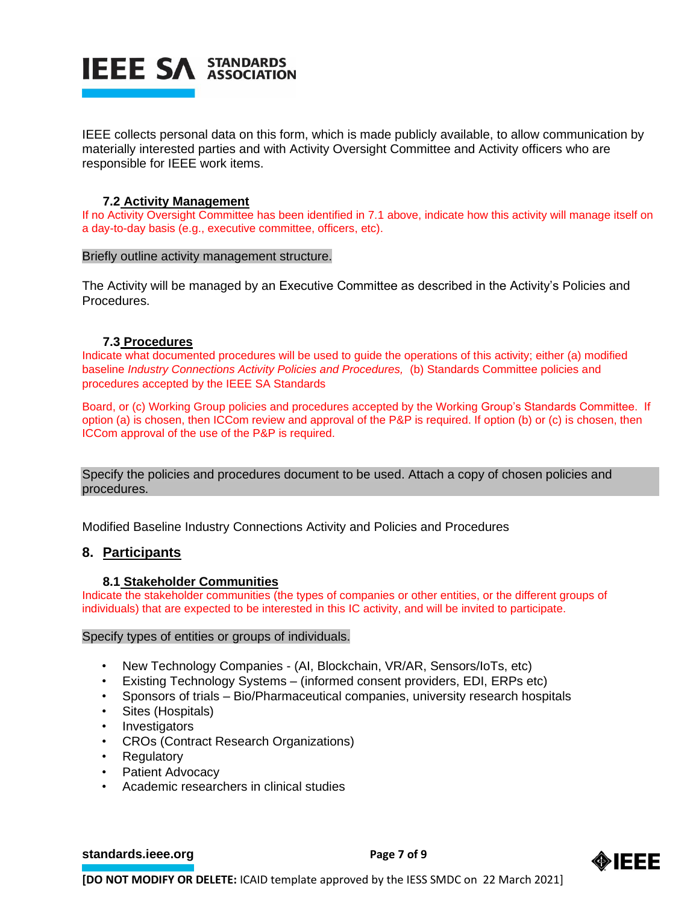

IEEE collects personal data on this form, which is made publicly available, to allow communication by materially interested parties and with Activity Oversight Committee and Activity officers who are responsible for IEEE work items.

# **7.2 Activity Management**

If no Activity Oversight Committee has been identified in 7.1 above, indicate how this activity will manage itself on a day-to-day basis (e.g., executive committee, officers, etc).

#### Briefly outline activity management structure.

The Activity will be managed by an Executive Committee as described in the Activity's Policies and Procedures.

# **7.3 Procedures**

Indicate what documented procedures will be used to guide the operations of this activity; either (a) modified baseline *Industry Connections Activity Policies and Procedures,* (b) Standards Committee policies and procedures accepted by the IEEE SA Standards

Board, or (c) Working Group policies and procedures accepted by the Working Group's Standards Committee. If option (a) is chosen, then ICCom review and approval of the P&P is required. If option (b) or (c) is chosen, then ICCom approval of the use of the P&P is required.

Specify the policies and procedures document to be used. Attach a copy of chosen policies and procedures.

Modified Baseline Industry Connections Activity and Policies and Procedures

# **8. Participants**

# **8.1 Stakeholder Communities**

Indicate the stakeholder communities (the types of companies or other entities, or the different groups of individuals) that are expected to be interested in this IC activity, and will be invited to participate.

#### Specify types of entities or groups of individuals.

- New Technology Companies (AI, Blockchain, VR/AR, Sensors/IoTs, etc)
- Existing Technology Systems (informed consent providers, EDI, ERPs etc)
- Sponsors of trials Bio/Pharmaceutical companies, university research hospitals
- Sites (Hospitals)
- Investigators
- CROs (Contract Research Organizations)
- Regulatory
- Patient Advocacy
- Academic researchers in clinical studies

#### **[standards.ieee.org](http://standards.ieee.org/) EXECUTE: Page 7 of 9**

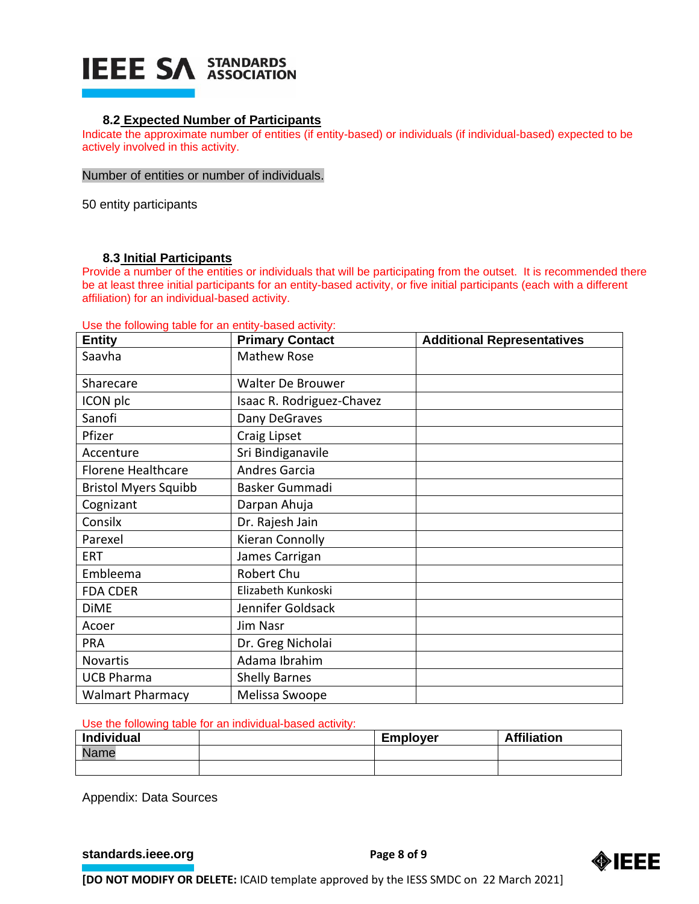# **IEEE SA STANDARDS**

# **8.2 Expected Number of Participants**

Indicate the approximate number of entities (if entity-based) or individuals (if individual-based) expected to be actively involved in this activity.

#### Number of entities or number of individuals.

50 entity participants

# **8.3 Initial Participants**

Provide a number of the entities or individuals that will be participating from the outset. It is recommended there be at least three initial participants for an entity-based activity, or five initial participants (each with a different affiliation) for an individual-based activity.

Use the following table for an entity-based activity:

| <b>Entity</b>               | <b>Primary Contact</b>    | <b>Additional Representatives</b> |
|-----------------------------|---------------------------|-----------------------------------|
| Saavha                      | <b>Mathew Rose</b>        |                                   |
| Sharecare                   | <b>Walter De Brouwer</b>  |                                   |
| ICON plc                    | Isaac R. Rodriguez-Chavez |                                   |
| Sanofi                      | Dany DeGraves             |                                   |
| Pfizer                      | Craig Lipset              |                                   |
| Accenture                   | Sri Bindiganavile         |                                   |
| <b>Florene Healthcare</b>   | <b>Andres Garcia</b>      |                                   |
| <b>Bristol Myers Squibb</b> | Basker Gummadi            |                                   |
| Cognizant                   | Darpan Ahuja              |                                   |
| Consilx                     | Dr. Rajesh Jain           |                                   |
| Parexel                     | Kieran Connolly           |                                   |
| <b>ERT</b>                  | James Carrigan            |                                   |
| Embleema                    | Robert Chu                |                                   |
| <b>FDA CDER</b>             | Elizabeth Kunkoski        |                                   |
| <b>DiME</b>                 | Jennifer Goldsack         |                                   |
| Acoer                       | Jim Nasr                  |                                   |
| <b>PRA</b>                  | Dr. Greg Nicholai         |                                   |
| <b>Novartis</b>             | Adama Ibrahim             |                                   |
| <b>UCB Pharma</b>           | <b>Shelly Barnes</b>      |                                   |
| <b>Walmart Pharmacy</b>     | Melissa Swoope            |                                   |

Use the following table for an individual-based activity:

| <b>Individual</b> | <b>Employer</b> | <b>Affiliation</b> |
|-------------------|-----------------|--------------------|
| Name              |                 |                    |
|                   |                 |                    |

Appendix: Data Sources

**[standards.ieee.org](http://standards.ieee.org/) EXECUTE: Page 8 of 9**